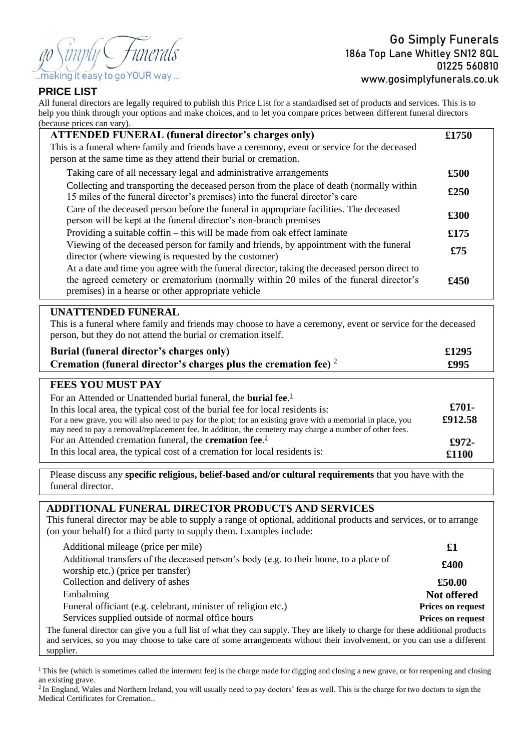- *Funerals* aking it easy to go YOUR way ...

### **PRICE LIST**

All funeral directors are legally required to publish this Price List for a standardised set of products and services. This is to help you think through your options and make choices, and to let you compare prices between different funeral directors (because prices can vary).

| <b>ATTENDED FUNERAL (funeral director's charges only)</b>                                                                                                                                                                                    | £1750 |
|----------------------------------------------------------------------------------------------------------------------------------------------------------------------------------------------------------------------------------------------|-------|
| This is a funeral where family and friends have a ceremony, event or service for the deceased                                                                                                                                                |       |
| person at the same time as they attend their burial or cremation.                                                                                                                                                                            |       |
| Taking care of all necessary legal and administrative arrangements                                                                                                                                                                           | £500  |
| Collecting and transporting the deceased person from the place of death (normally within<br>15 miles of the funeral director's premises) into the funeral director's care                                                                    | £250  |
| Care of the deceased person before the funeral in appropriate facilities. The deceased<br>person will be kept at the funeral director's non-branch premises                                                                                  | £300  |
| Providing a suitable coffin – this will be made from oak effect laminate                                                                                                                                                                     | £175  |
| Viewing of the deceased person for family and friends, by appointment with the funeral<br>director (where viewing is requested by the customer)                                                                                              | £75   |
| At a date and time you agree with the funeral director, taking the deceased person direct to<br>the agreed cemetery or crematorium (normally within 20 miles of the funeral director's<br>premises) in a hearse or other appropriate vehicle | £450  |

## **UNATTENDED FUNERAL**

This is a funeral where family and friends may choose to have a ceremony, event or service for the deceased person, but they do not attend the burial or cremation itself.

| Burial (funeral director's charges only)                             | £1295 |
|----------------------------------------------------------------------|-------|
| Cremation (funeral director's charges plus the cremation fee) $2\pi$ | £995  |

# **FEES YOU MUST PAY**

| For an Attended or Unattended burial funeral, the <b>burial fee.</b> <sup>1</sup><br>In this local area, the typical cost of the burial fee for local residents is:<br>For a new grave, you will also need to pay for the plot; for an existing grave with a memorial in place, you<br>may need to pay a removal/replacement fee. In addition, the cemetery may charge a number of other fees. | $£701-$<br>£912.58 |
|------------------------------------------------------------------------------------------------------------------------------------------------------------------------------------------------------------------------------------------------------------------------------------------------------------------------------------------------------------------------------------------------|--------------------|
| For an Attended cremation funeral, the <b>cremation fee.</b> <sup>2</sup>                                                                                                                                                                                                                                                                                                                      | £972-              |
| In this local area, the typical cost of a cremation for local residents is:                                                                                                                                                                                                                                                                                                                    | £1100              |

Please discuss any **specific religious, belief-based and/or cultural requirements** that you have with the funeral director.

## **ADDITIONAL FUNERAL DIRECTOR PRODUCTS AND SERVICES**

This funeral director may be able to supply a range of optional, additional products and services, or to arrange (on your behalf) for a third party to supply them. Examples include:

| Additional mileage (price per mile)                                                                                                                                                                                                                                    | £1                       |
|------------------------------------------------------------------------------------------------------------------------------------------------------------------------------------------------------------------------------------------------------------------------|--------------------------|
| Additional transfers of the deceased person's body (e.g. to their home, to a place of<br>worship etc.) (price per transfer)                                                                                                                                            | £400                     |
| Collection and delivery of ashes                                                                                                                                                                                                                                       | £50.00                   |
| Embalming                                                                                                                                                                                                                                                              | Not offered              |
| Funeral officiant (e.g. celebrant, minister of religion etc.)                                                                                                                                                                                                          | <b>Prices on request</b> |
| Services supplied outside of normal office hours                                                                                                                                                                                                                       | <b>Prices on request</b> |
| The funeral director can give you a full list of what they can supply. They are likely to charge for these additional products<br>and services, so you may choose to take care of some arrangements without their involvement, or you can use a different<br>supplier. |                          |

<sup>1</sup>This fee (which is sometimes called the interment fee) is the charge made for digging and closing a new grave, or for reopening and closing an existing grave.

<sup>2</sup> In England, Wales and Northern Ireland, you will usually need to pay doctors' fees as well. This is the charge for two doctors to sign the Medical Certificates for Cremation..